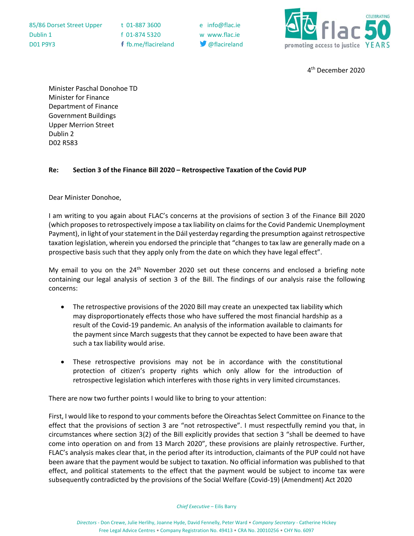| 85/86 Dorset Street Upper |  |
|---------------------------|--|
| Dublin 1                  |  |
| <b>D01 P9Y3</b>           |  |

t 01-887 3600 e info@flac.ie f 01-874 5320 w www.flac.ie f fb.me/flacireland @flacireland



4th December 2020

Minister Paschal Donohoe TD Minister for Finance Department of Finance Government Buildings Upper Merrion Street Dublin 2 D02 R583

## **Re: Section 3 of the Finance Bill 2020 – Retrospective Taxation of the Covid PUP**

Dear Minister Donohoe,

I am writing to you again about FLAC's concerns at the provisions of section 3 of the Finance Bill 2020 (which proposes to retrospectively impose a tax liability on claims for the Covid Pandemic Unemployment Payment), in light of your statement in the Dáil yesterday regarding the presumption against retrospective taxation legislation, wherein you endorsed the principle that "changes to tax law are generally made on a prospective basis such that they apply only from the date on which they have legal effect".

My email to you on the  $24<sup>th</sup>$  November 2020 set out these concerns and enclosed a briefing note containing our legal analysis of section 3 of the Bill. The findings of our analysis raise the following concerns:

- The retrospective provisions of the 2020 Bill may create an unexpected tax liability which may disproportionately effects those who have suffered the most financial hardship as a result of the Covid-19 pandemic. An analysis of the information available to claimants for the payment since March suggests that they cannot be expected to have been aware that such a tax liability would arise.
- These retrospective provisions may not be in accordance with the constitutional protection of citizen's property rights which only allow for the introduction of retrospective legislation which interferes with those rights in very limited circumstances.

There are now two further points I would like to bring to your attention:

First, I would like to respond to your comments before the Oireachtas Select Committee on Finance to the effect that the provisions of section 3 are "not retrospective". I must respectfully remind you that, in circumstances where section 3(2) of the Bill explicitly provides that section 3 "shall be deemed to have come into operation on and from 13 March 2020", these provisions are plainly retrospective. Further, FLAC's analysis makes clear that, in the period after its introduction, claimants of the PUP could not have been aware that the payment would be subject to taxation. No official information was published to that effect, and political statements to the effect that the payment would be subject to income tax were subsequently contradicted by the provisions of the Social Welfare (Covid-19) (Amendment) Act 2020

*Chief Executive* – Eilis Barry